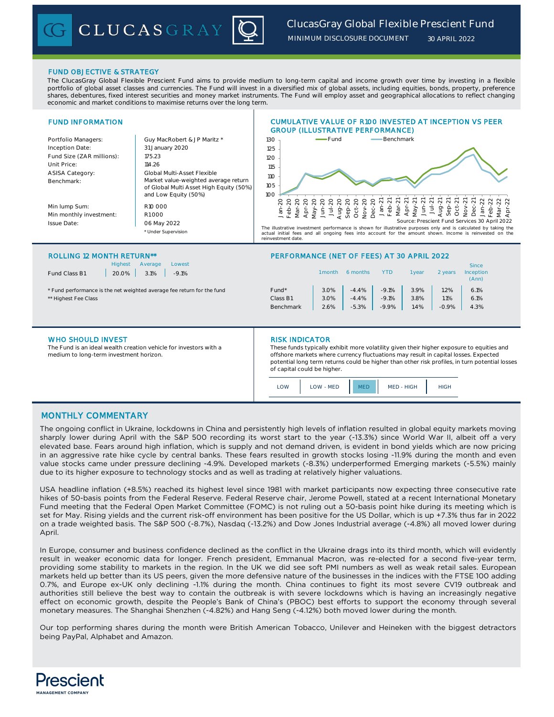# *ClucasGray Global Flexible Prescient Fund*

*MINIMUM DISCLOSURE DOCUMENT*

*30 APRIL 2022*

# FUND OBJECTIVE & STRATEGY

The ClucasGray Global Flexible Prescient Fund aims to provide medium to long-term capital and income growth over time by investing in a flexible portfolio of global asset classes and currencies. The Fund will invest in a diversified mix of global assets, including equities, bonds, property, preference shares, debentures, fixed interest securities and money market instruments. The Fund will employ asset and geographical allocations to reflect changing economic and market conditions to maximise returns over the long term.

### FUND INFORMATION Portfolio Managers: Cuy MacRobert & JP Maritz \* Inception Date: Fund Size (ZAR millions): 175.23 Unit Price: 114.26 ASISA Category: Benchmark: Min lump Sum: Min monthly investment: R1 000 Issue Date: \* Under Supervision ROLLING 12 MONTH RETURNS 12 MONTH RETURNS 12 MONTH RETURNS 12 MONTH RETURNS 12 MONTH RETURNS 12 MONTH RETURNS CUMULATIVE VALUE OF R100 INVESTED AT INCEPTION VS PEER GROUP (ILLUSTRATIVE PERFORMANCE) 31 January 2020 Global Multi-Asset Flexible R10 000 06 May 2022 Market value-weighted average return of Global Multi Asset High Equity (50%) and Low Equity (50%) 100 105 110 115 120 125 130 Jan-20 Feb-20 Mar-20 Apr-20 May-20 Jun-20 Jul-20<br>02-90<br>90-20 Aug-20 Sep-Oct-20<br>Dec-20<br>Dec-21<br>마음 - 무하구 Mar-21 Apr-21 May-21 Jun-21 Jul-21 Aug-21 Sep-21 Oct-21 Nov-21 Dec-Jan-22 Feb-22 Mar-22 Apr-22  $-Fund$  Benchmark The illustrative investment performance is shown for illustrative purposes only and is calculated by taking the actual initial fees and all ongoing fees into account for the amount shown. Income is reinvested on reinvestment date. Source: Prescient Fund Services 30 April 2022

|  |  | <b>ROLLING 12 MONTH RETU</b> |  |
|--|--|------------------------------|--|
|--|--|------------------------------|--|

Highest Average Lowest Fund Class B1 20.0% 3.1% -9.1%

CLUCASGRAY

| <b>Hidriest</b><br>Average<br>LOWEST<br>Fund Class B1<br>20.0%<br>3.1%<br>$-9.1%$ |                   | 1 month | 6 months | <b>YTD</b> | vear | 2 years | Since<br><b>Inception</b><br>(Ann) |  |
|-----------------------------------------------------------------------------------|-------------------|---------|----------|------------|------|---------|------------------------------------|--|
| * Fund performance is the net weighted average fee return for the fund            | Fund <sup>*</sup> | 3.0%    | $-4.4%$  | $-9.1%$    | 3.9% | 1.2%    | 6.1%                               |  |
| ** Highest Fee Class                                                              | Class B1          | 3.0%    | $-4.4%$  | $-9.1%$    | 3.8% | 1.1%    | 6.1%                               |  |
|                                                                                   | Benchmark         | 2.6%    | $-5.3%$  | $-9.9%$    | 1.4% | $-0.9%$ | 4.3%                               |  |
|                                                                                   |                   |         |          |            |      |         |                                    |  |

## WHO SHOULD INVEST **RISK INDICATOR**

The Fund is an ideal wealth creation vehicle for investors with a medium to long-term investment horizon.

These funds typically exhibit more volatility given their higher exposure to equities and offshore markets where currency fluctuations may result in capital losses. Expected potential long term returns could be higher than other risk profiles, in turn potential losses of capital could be higher.

| ٦١٨<br>OW - MED |  | MED - HIGH | ⊫∩וי |
|-----------------|--|------------|------|
|-----------------|--|------------|------|

# MONTHLY COMMENTARY

The ongoing conflict in Ukraine, lockdowns in China and persistently high levels of inflation resulted in global equity markets moving sharply lower during April with the S&P 500 recording its worst start to the year (-13.3%) since World War II, albeit off a very elevated base. Fears around high inflation, which is supply and not demand driven, is evident in bond yields which are now pricing in an aggressive rate hike cycle by central banks. These fears resulted in growth stocks losing -11.9% during the month and even value stocks came under pressure declining -4.9%. Developed markets (-8.3%) underperformed Emerging markets (-5.5%) mainly due to its higher exposure to technology stocks and as well as trading at relatively higher valuations.

USA headline inflation (+8.5%) reached its highest level since 1981 with market participants now expecting three consecutive rate hikes of 50-basis points from the Federal Reserve. Federal Reserve chair, Jerome Powell, stated at a recent International Monetary Fund meeting that the Federal Open Market Committee (FOMC) is not ruling out a 50-basis point hike during its meeting which is set for May. Rising yields and the current risk-off environment has been positive for the US Dollar, which is up +7.3% thus far in 2022 on a trade weighted basis. The S&P 500 (-8.7%), Nasdaq (-13.2%) and Dow Jones Industrial average (-4.8%) all moved lower during April.

In Europe, consumer and business confidence declined as the conflict in the Ukraine drags into its third month, which will evidently result in weaker economic data for longer. French president, Emmanual Macron, was re-elected for a second five-year term, providing some stability to markets in the region. In the UK we did see soft PMI numbers as well as weak retail sales. European markets held up better than its US peers, given the more defensive nature of the businesses in the indices with the FTSE 100 adding 0.7%, and Europe ex-UK only declining -1.1% during the month. China continues to fight its most severe CV19 outbreak and authorities still believe the best way to contain the outbreak is with severe lockdowns which is having an increasingly negative effect on economic growth, despite the People's Bank of China's (PBOC) best efforts to support the economy through several monetary measures. The Shanghai Shenzhen (-4.82%) and Hang Seng (-4.12%) both moved lower during the month.

Our top performing shares during the month were British American Tobacco, Unilever and Heineken with the biggest detractors being PayPal, Alphabet and Amazon.

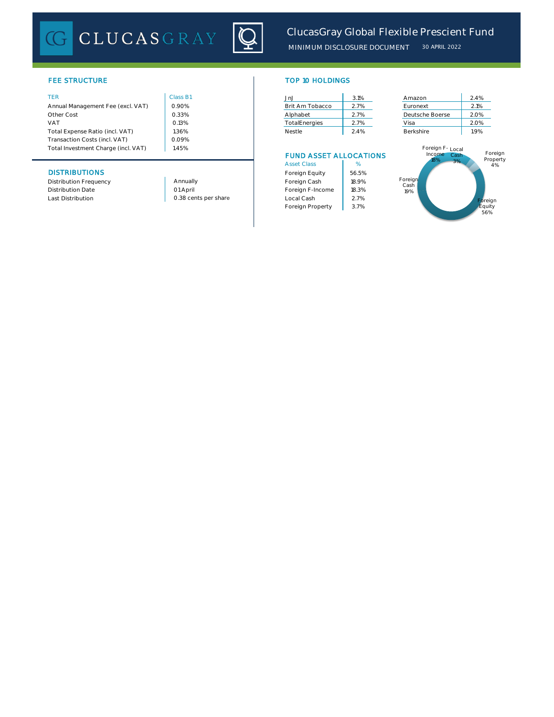

# FEE STRUCTURE

|  | ۰ |  |
|--|---|--|
|  |   |  |
|  |   |  |

| Annual Management Fee (excl. VAT)   | 0.90% | Brit Am Tobacco | 2.7% | Euronext         | 2.1% |
|-------------------------------------|-------|-----------------|------|------------------|------|
| Other Cost                          | 0.33% | Alphabet        | 2.7% | Deutsche Boerse  | 2.0% |
| <b>VAT</b>                          | 0.13% | TotalEnergies   | 2.7% | Visa             | 2.0% |
| Total Expense Ratio (incl. VAT)     | 1.36% | Nestle          | 2.4% | Berkshire        | 1.9% |
| Transaction Costs (incl. VAT)       | 0.09% |                 |      |                  |      |
| Total Investment Charge (incl. VAT) | .45%  |                 |      | Foreign F- Local |      |
|                                     |       |                 |      |                  |      |

# **DISTRIBUTIONS**

Distribution Frequency Distribution Date

 $1.45%$ Annually

01 April

| <b>TOP 10 HOLDINGS</b> |  |  |
|------------------------|--|--|
|                        |  |  |

| TER                               | Class B1 | Jn.                  | 3.1% | Amazon          | 2.4% |
|-----------------------------------|----------|----------------------|------|-----------------|------|
| Annual Management Fee (excl. VAT) | 0.90%    | Brit Am Tobacco      | 2.7% | Euronext        | 2.1% |
| Other Cost                        | 0.33%    | Alphabet             | 2.7% | Deutsche Boerse | 2.0% |
| VAT                               | 0.13%    | <b>TotalEnergies</b> | 2.7% | Visa            | 2.0% |
| Total Expense Ratio (incl. VAT)   | 1.36%    | Nestle               | 2.4% | Berkshire       | 1.9% |

# FUND ASSET ALLOCATIONS

| <b>Asset Class</b> | %     |
|--------------------|-------|
| Foreign Equity     | 56.5% |
| Foreign Cash       | 18.9% |
| Foreign F-Income   | 18.3% |
| Local Cash         | 2.7%  |
| Foreign Property   | 3.7%  |